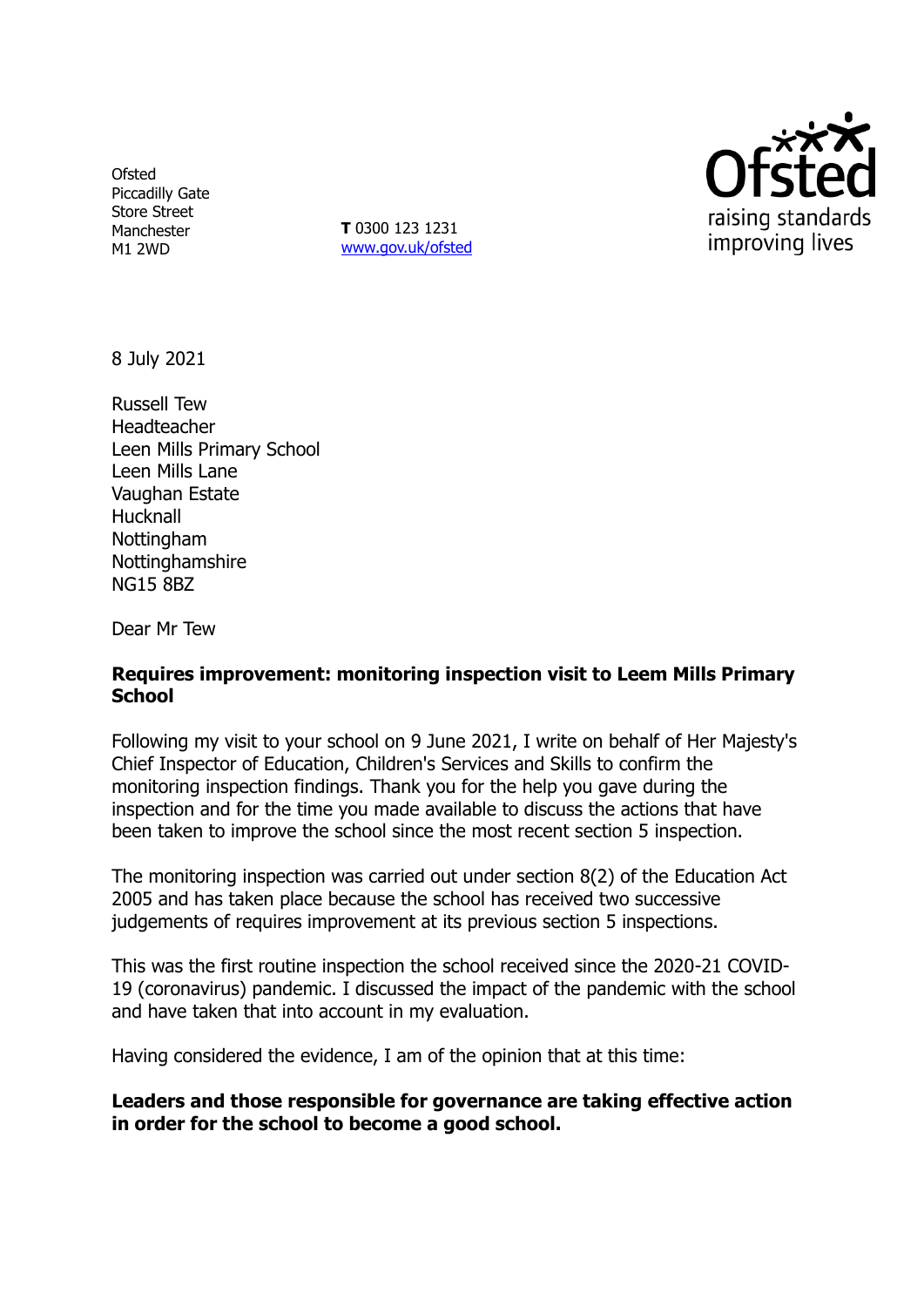**Ofsted** Piccadilly Gate Store Street Manchester M1 2WD

**T** 0300 123 1231 [www.gov.uk/ofsted](http://www.gov.uk/ofsted)



8 July 2021

Russell Tew Headteacher Leen Mills Primary School Leen Mills Lane Vaughan Estate Hucknall **Nottingham Nottinghamshire** NG15 8BZ

Dear Mr Tew

## **Requires improvement: monitoring inspection visit to Leem Mills Primary School**

Following my visit to your school on 9 June 2021, I write on behalf of Her Majesty's Chief Inspector of Education, Children's Services and Skills to confirm the monitoring inspection findings. Thank you for the help you gave during the inspection and for the time you made available to discuss the actions that have been taken to improve the school since the most recent section 5 inspection.

The monitoring inspection was carried out under section 8(2) of the Education Act 2005 and has taken place because the school has received two successive judgements of requires improvement at its previous section 5 inspections.

This was the first routine inspection the school received since the 2020-21 COVID-19 (coronavirus) pandemic. I discussed the impact of the pandemic with the school and have taken that into account in my evaluation.

Having considered the evidence, I am of the opinion that at this time:

## **Leaders and those responsible for governance are taking effective action in order for the school to become a good school.**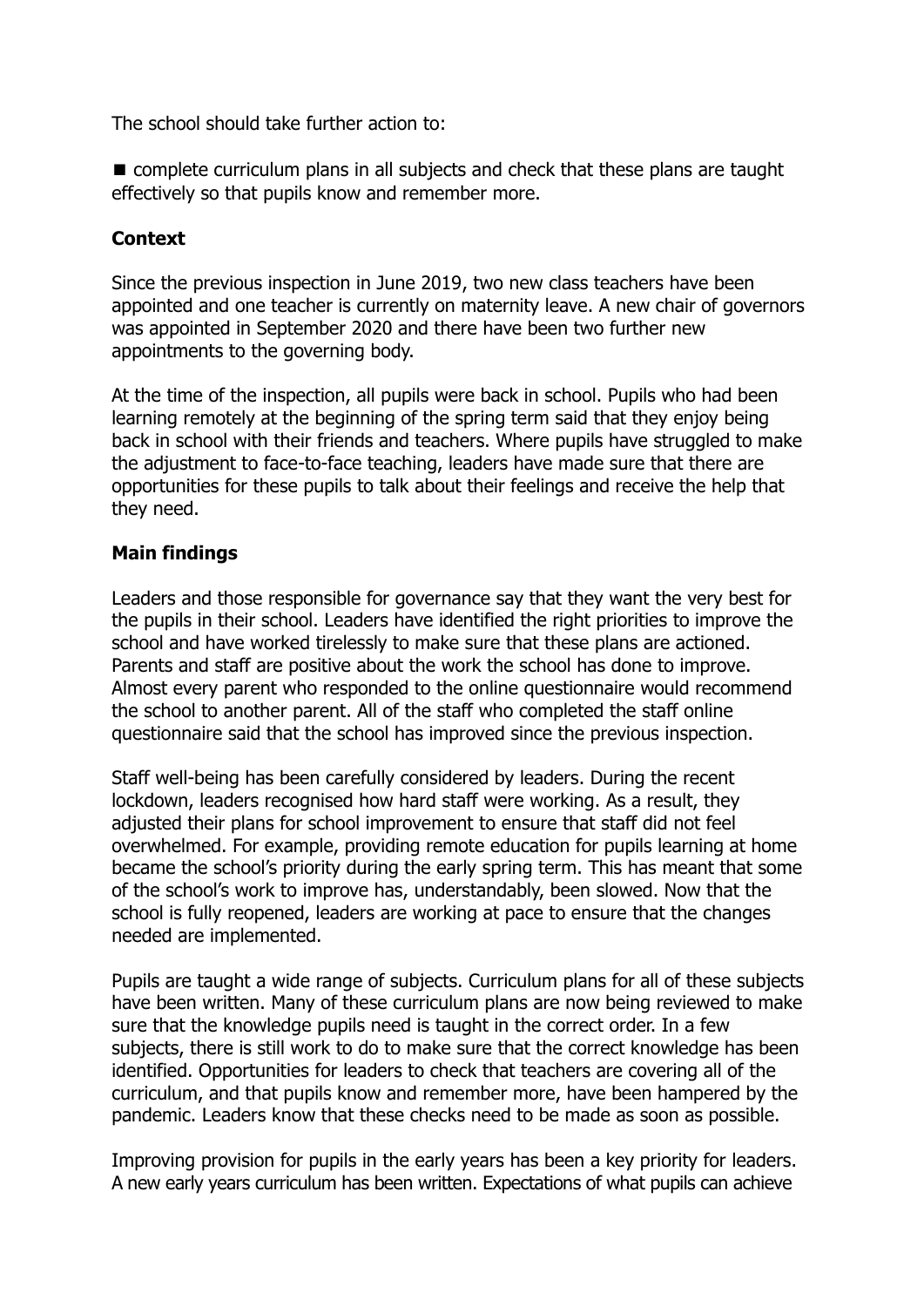The school should take further action to:

■ complete curriculum plans in all subjects and check that these plans are taught effectively so that pupils know and remember more.

# **Context**

Since the previous inspection in June 2019, two new class teachers have been appointed and one teacher is currently on maternity leave. A new chair of governors was appointed in September 2020 and there have been two further new appointments to the governing body.

At the time of the inspection, all pupils were back in school. Pupils who had been learning remotely at the beginning of the spring term said that they enjoy being back in school with their friends and teachers. Where pupils have struggled to make the adjustment to face-to-face teaching, leaders have made sure that there are opportunities for these pupils to talk about their feelings and receive the help that they need.

## **Main findings**

Leaders and those responsible for governance say that they want the very best for the pupils in their school. Leaders have identified the right priorities to improve the school and have worked tirelessly to make sure that these plans are actioned. Parents and staff are positive about the work the school has done to improve. Almost every parent who responded to the online questionnaire would recommend the school to another parent. All of the staff who completed the staff online questionnaire said that the school has improved since the previous inspection.

Staff well-being has been carefully considered by leaders. During the recent lockdown, leaders recognised how hard staff were working. As a result, they adjusted their plans for school improvement to ensure that staff did not feel overwhelmed. For example, providing remote education for pupils learning at home became the school's priority during the early spring term. This has meant that some of the school's work to improve has, understandably, been slowed. Now that the school is fully reopened, leaders are working at pace to ensure that the changes needed are implemented.

Pupils are taught a wide range of subjects. Curriculum plans for all of these subjects have been written. Many of these curriculum plans are now being reviewed to make sure that the knowledge pupils need is taught in the correct order. In a few subjects, there is still work to do to make sure that the correct knowledge has been identified. Opportunities for leaders to check that teachers are covering all of the curriculum, and that pupils know and remember more, have been hampered by the pandemic. Leaders know that these checks need to be made as soon as possible.

Improving provision for pupils in the early years has been a key priority for leaders. A new early years curriculum has been written. Expectations of what pupils can achieve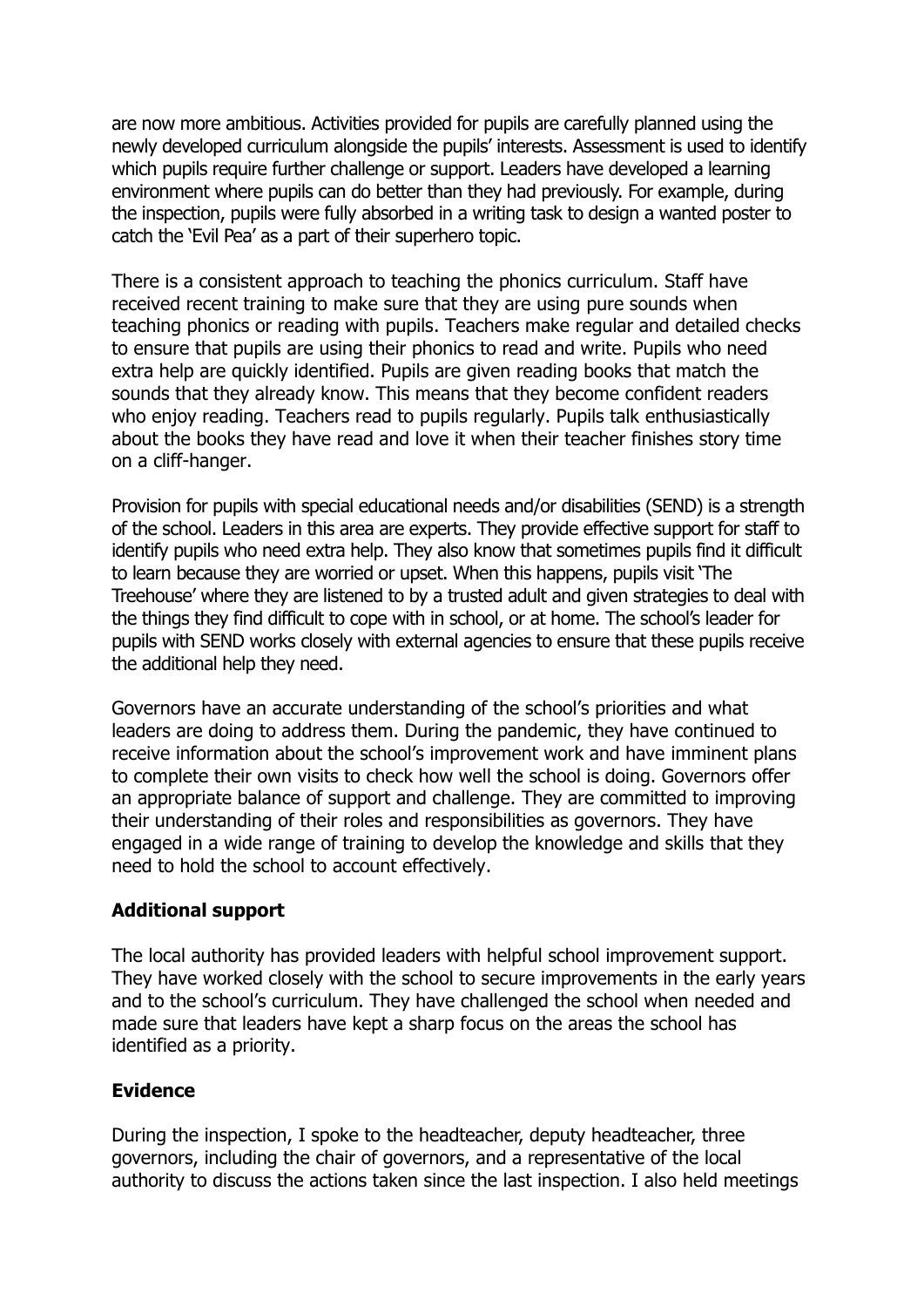are now more ambitious. Activities provided for pupils are carefully planned using the newly developed curriculum alongside the pupils' interests. Assessment is used to identify which pupils require further challenge or support. Leaders have developed a learning environment where pupils can do better than they had previously. For example, during the inspection, pupils were fully absorbed in a writing task to design a wanted poster to catch the 'Evil Pea' as a part of their superhero topic.

There is a consistent approach to teaching the phonics curriculum. Staff have received recent training to make sure that they are using pure sounds when teaching phonics or reading with pupils. Teachers make regular and detailed checks to ensure that pupils are using their phonics to read and write. Pupils who need extra help are quickly identified. Pupils are given reading books that match the sounds that they already know. This means that they become confident readers who enjoy reading. Teachers read to pupils regularly. Pupils talk enthusiastically about the books they have read and love it when their teacher finishes story time on a cliff-hanger.

Provision for pupils with special educational needs and/or disabilities (SEND) is a strength of the school. Leaders in this area are experts. They provide effective support for staff to identify pupils who need extra help. They also know that sometimes pupils find it difficult to learn because they are worried or upset. When this happens, pupils visit 'The Treehouse' where they are listened to by a trusted adult and given strategies to deal with the things they find difficult to cope with in school, or at home. The school's leader for pupils with SEND works closely with external agencies to ensure that these pupils receive the additional help they need.

Governors have an accurate understanding of the school's priorities and what leaders are doing to address them. During the pandemic, they have continued to receive information about the school's improvement work and have imminent plans to complete their own visits to check how well the school is doing. Governors offer an appropriate balance of support and challenge. They are committed to improving their understanding of their roles and responsibilities as governors. They have engaged in a wide range of training to develop the knowledge and skills that they need to hold the school to account effectively.

### **Additional support**

The local authority has provided leaders with helpful school improvement support. They have worked closely with the school to secure improvements in the early years and to the school's curriculum. They have challenged the school when needed and made sure that leaders have kept a sharp focus on the areas the school has identified as a priority.

### **Evidence**

During the inspection, I spoke to the headteacher, deputy headteacher, three governors, including the chair of governors, and a representative of the local authority to discuss the actions taken since the last inspection. I also held meetings